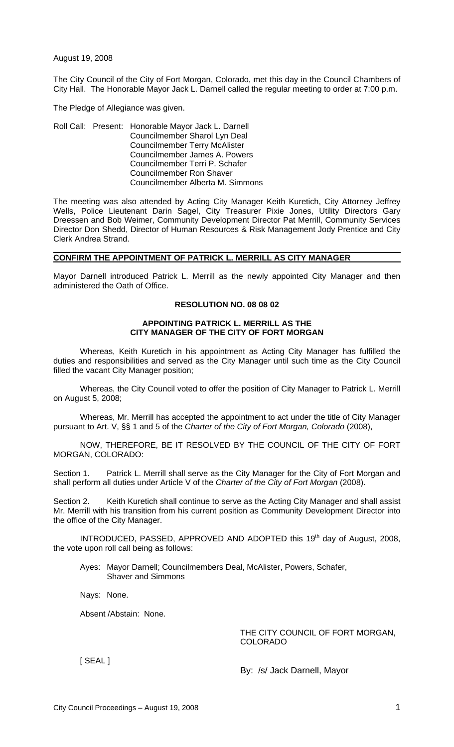August 19, 2008

The City Council of the City of Fort Morgan, Colorado, met this day in the Council Chambers of City Hall. The Honorable Mayor Jack L. Darnell called the regular meeting to order at 7:00 p.m.

The Pledge of Allegiance was given.

Roll Call: Present: Honorable Mayor Jack L. Darnell Councilmember Sharol Lyn Deal Councilmember Terry McAlister Councilmember James A. Powers Councilmember Terri P. Schafer Councilmember Ron Shaver Councilmember Alberta M. Simmons

The meeting was also attended by Acting City Manager Keith Kuretich, City Attorney Jeffrey Wells, Police Lieutenant Darin Sagel, City Treasurer Pixie Jones, Utility Directors Gary Dreessen and Bob Weimer, Community Development Director Pat Merrill, Community Services Director Don Shedd, Director of Human Resources & Risk Management Jody Prentice and City Clerk Andrea Strand.

### **CONFIRM THE APPOINTMENT OF PATRICK L. MERRILL AS CITY MANAGER**

Mayor Darnell introduced Patrick L. Merrill as the newly appointed City Manager and then administered the Oath of Office.

### **RESOLUTION NO. 08 08 02**

#### **APPOINTING PATRICK L. MERRILL AS THE CITY MANAGER OF THE CITY OF FORT MORGAN**

Whereas, Keith Kuretich in his appointment as Acting City Manager has fulfilled the duties and responsibilities and served as the City Manager until such time as the City Council filled the vacant City Manager position;

Whereas, the City Council voted to offer the position of City Manager to Patrick L. Merrill on August 5, 2008;

Whereas, Mr. Merrill has accepted the appointment to act under the title of City Manager pursuant to Art. V, §§ 1 and 5 of the *Charter of the City of Fort Morgan, Colorado* (2008),

NOW, THEREFORE, BE IT RESOLVED BY THE COUNCIL OF THE CITY OF FORT MORGAN, COLORADO:

Section 1. Patrick L. Merrill shall serve as the City Manager for the City of Fort Morgan and shall perform all duties under Article V of the *Charter of the City of Fort Morgan* (2008).

Section 2. Keith Kuretich shall continue to serve as the Acting City Manager and shall assist Mr. Merrill with his transition from his current position as Community Development Director into the office of the City Manager.

INTRODUCED, PASSED, APPROVED AND ADOPTED this  $19<sup>th</sup>$  day of August, 2008, the vote upon roll call being as follows:

Ayes: Mayor Darnell; Councilmembers Deal, McAlister, Powers, Schafer, Shaver and Simmons

Nays: None.

Absent /Abstain: None.

THE CITY COUNCIL OF FORT MORGAN, COLORADO

[ SEAL ]

By: /s/ Jack Darnell, Mayor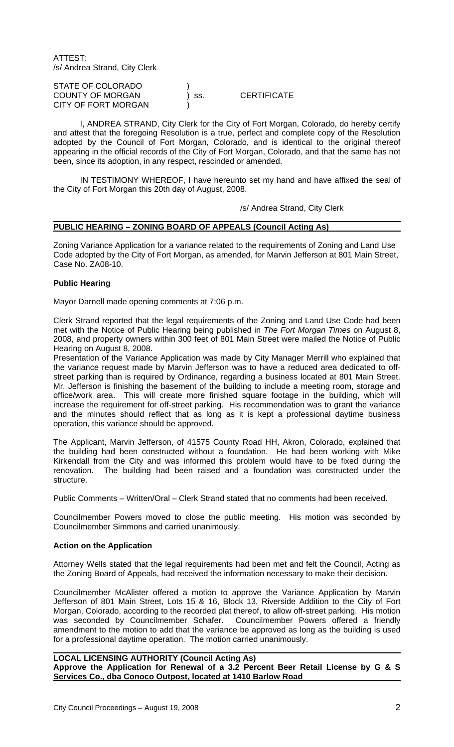ATTEST: /s/ Andrea Strand, City Clerk

| STATE OF COLORADO          |       |                    |
|----------------------------|-------|--------------------|
| <b>COUNTY OF MORGAN</b>    | ) SS. | <b>CERTIFICATE</b> |
| <b>CITY OF FORT MORGAN</b> |       |                    |

I, ANDREA STRAND, City Clerk for the City of Fort Morgan, Colorado, do hereby certify and attest that the foregoing Resolution is a true, perfect and complete copy of the Resolution adopted by the Council of Fort Morgan, Colorado, and is identical to the original thereof appearing in the official records of the City of Fort Morgan, Colorado, and that the same has not been, since its adoption, in any respect, rescinded or amended.

IN TESTIMONY WHEREOF, I have hereunto set my hand and have affixed the seal of the City of Fort Morgan this 20th day of August, 2008.

/s/ Andrea Strand, City Clerk

#### **PUBLIC HEARING – ZONING BOARD OF APPEALS (Council Acting As)**

Zoning Variance Application for a variance related to the requirements of Zoning and Land Use Code adopted by the City of Fort Morgan, as amended, for Marvin Jefferson at 801 Main Street, Case No. ZA08-10.

#### **Public Hearing**

Mayor Darnell made opening comments at 7:06 p.m.

Clerk Strand reported that the legal requirements of the Zoning and Land Use Code had been met with the Notice of Public Hearing being published in *The Fort Morgan Times* on August 8, 2008, and property owners within 300 feet of 801 Main Street were mailed the Notice of Public Hearing on August 8, 2008.

Presentation of the Variance Application was made by City Manager Merrill who explained that the variance request made by Marvin Jefferson was to have a reduced area dedicated to offstreet parking than is required by Ordinance, regarding a business located at 801 Main Street. Mr. Jefferson is finishing the basement of the building to include a meeting room, storage and office/work area. This will create more finished square footage in the building, which will increase the requirement for off-street parking. His recommendation was to grant the variance and the minutes should reflect that as long as it is kept a professional daytime business operation, this variance should be approved.

The Applicant, Marvin Jefferson, of 41575 County Road HH, Akron, Colorado, explained that the building had been constructed without a foundation. He had been working with Mike Kirkendall from the City and was informed this problem would have to be fixed during the renovation. The building had been raised and a foundation was constructed under the structure.

Public Comments – Written/Oral – Clerk Strand stated that no comments had been received.

Councilmember Powers moved to close the public meeting. His motion was seconded by Councilmember Simmons and carried unanimously.

#### **Action on the Application**

Attorney Wells stated that the legal requirements had been met and felt the Council, Acting as the Zoning Board of Appeals, had received the information necessary to make their decision.

Councilmember McAlister offered a motion to approve the Variance Application by Marvin Jefferson of 801 Main Street, Lots 15 & 16, Block 13, Riverside Addition to the City of Fort Morgan, Colorado, according to the recorded plat thereof, to allow off-street parking. His motion was seconded by Councilmember Schafer. Councilmember Powers offered a friendly was seconded by Councilmember Schafer. amendment to the motion to add that the variance be approved as long as the building is used for a professional daytime operation. The motion carried unanimously.

 **LOCAL LICENSING AUTHORITY (Council Acting As) Approve the Application for Renewal of a 3.2 Percent Beer Retail License by G & S Services Co., dba Conoco Outpost, located at 1410 Barlow Road**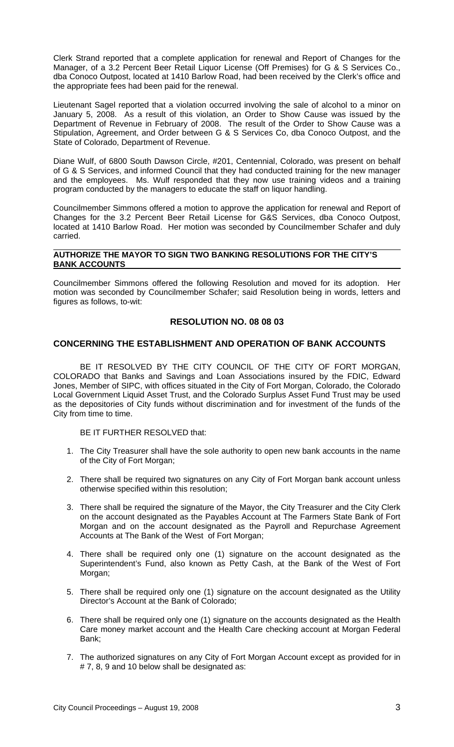Clerk Strand reported that a complete application for renewal and Report of Changes for the Manager, of a 3.2 Percent Beer Retail Liquor License (Off Premises) for G & S Services Co., dba Conoco Outpost, located at 1410 Barlow Road, had been received by the Clerk's office and the appropriate fees had been paid for the renewal.

Lieutenant Sagel reported that a violation occurred involving the sale of alcohol to a minor on January 5, 2008. As a result of this violation, an Order to Show Cause was issued by the Department of Revenue in February of 2008. The result of the Order to Show Cause was a Stipulation, Agreement, and Order between G & S Services Co, dba Conoco Outpost, and the State of Colorado, Department of Revenue.

Diane Wulf, of 6800 South Dawson Circle, #201, Centennial, Colorado, was present on behalf of G & S Services, and informed Council that they had conducted training for the new manager and the employees. Ms. Wulf responded that they now use training videos and a training program conducted by the managers to educate the staff on liquor handling.

Councilmember Simmons offered a motion to approve the application for renewal and Report of Changes for the 3.2 Percent Beer Retail License for G&S Services, dba Conoco Outpost, located at 1410 Barlow Road. Her motion was seconded by Councilmember Schafer and duly carried.

#### **AUTHORIZE THE MAYOR TO SIGN TWO BANKING RESOLUTIONS FOR THE CITY'S BANK ACCOUNTS**

Councilmember Simmons offered the following Resolution and moved for its adoption. Her motion was seconded by Councilmember Schafer; said Resolution being in words, letters and figures as follows, to-wit:

# **RESOLUTION NO. 08 08 03**

### **CONCERNING THE ESTABLISHMENT AND OPERATION OF BANK ACCOUNTS**

BE IT RESOLVED BY THE CITY COUNCIL OF THE CITY OF FORT MORGAN. COLORADO that Banks and Savings and Loan Associations insured by the FDIC, Edward Jones, Member of SIPC, with offices situated in the City of Fort Morgan, Colorado, the Colorado Local Government Liquid Asset Trust, and the Colorado Surplus Asset Fund Trust may be used as the depositories of City funds without discrimination and for investment of the funds of the City from time to time.

### BE IT FURTHER RESOLVED that:

- 1. The City Treasurer shall have the sole authority to open new bank accounts in the name of the City of Fort Morgan;
- 2. There shall be required two signatures on any City of Fort Morgan bank account unless otherwise specified within this resolution;
- 3. There shall be required the signature of the Mayor, the City Treasurer and the City Clerk on the account designated as the Payables Account at The Farmers State Bank of Fort Morgan and on the account designated as the Payroll and Repurchase Agreement Accounts at The Bank of the West of Fort Morgan;
- 4. There shall be required only one (1) signature on the account designated as the Superintendent's Fund, also known as Petty Cash, at the Bank of the West of Fort Morgan;
- 5. There shall be required only one (1) signature on the account designated as the Utility Director's Account at the Bank of Colorado;
- 6. There shall be required only one (1) signature on the accounts designated as the Health Care money market account and the Health Care checking account at Morgan Federal Bank;
- 7. The authorized signatures on any City of Fort Morgan Account except as provided for in # 7, 8, 9 and 10 below shall be designated as: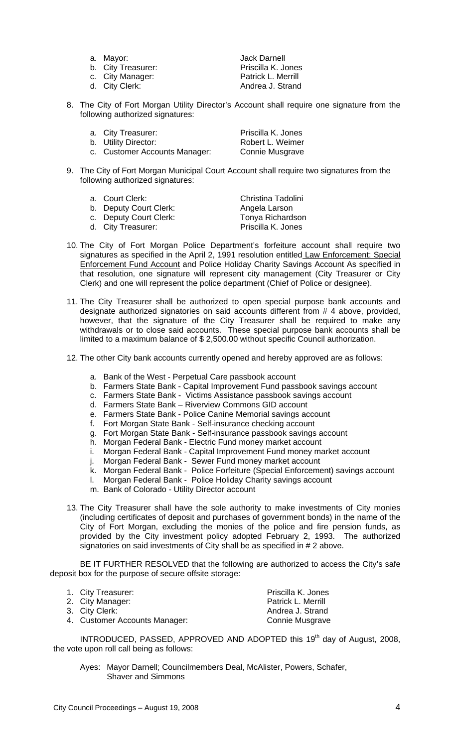- 
- b. City Treasurer: Priscilla K. Jones
- 
- 

a. Mayor: **Jack Darnell** c. City Manager: The Patrick L. Merrill<br>
d. City Clerk: Andrea J. Strand Andrea J. Strand

8. The City of Fort Morgan Utility Director's Account shall require one signature from the following authorized signatures:

| a. City Treasurer:            | Priscilla K. Jones |
|-------------------------------|--------------------|
| b. Utility Director:          | Robert L. Weimer   |
| c. Customer Accounts Manager: | Connie Musgrave    |

9. The City of Fort Morgan Municipal Court Account shall require two signatures from the following authorized signatures:

| а. | <b>Court Clerk:</b> |  |
|----|---------------------|--|
|----|---------------------|--|

d. City Treasurer:

b. Deputy Court Clerk:

Christina Tadolini<br>Angela Larson c. Deputy Court Clerk: Tonya Richardson<br>
d. City Treasurer: The Priscilla K. Jones

- 10. The City of Fort Morgan Police Department's forfeiture account shall require two signatures as specified in the April 2, 1991 resolution entitled Law Enforcement: Special Enforcement Fund Account and Police Holiday Charity Savings Account As specified in that resolution, one signature will represent city management (City Treasurer or City Clerk) and one will represent the police department (Chief of Police or designee).
- 11. The City Treasurer shall be authorized to open special purpose bank accounts and designate authorized signatories on said accounts different from # 4 above, provided, however, that the signature of the City Treasurer shall be required to make any withdrawals or to close said accounts. These special purpose bank accounts shall be limited to a maximum balance of \$ 2,500.00 without specific Council authorization.
- 12. The other City bank accounts currently opened and hereby approved are as follows:
	- a. Bank of the West Perpetual Care passbook account
	- b. Farmers State Bank Capital Improvement Fund passbook savings account
	- c. Farmers State Bank Victims Assistance passbook savings account
	- d. Farmers State Bank Riverview Commons GID account
	- e. Farmers State Bank Police Canine Memorial savings account
	- f. Fort Morgan State Bank Self-insurance checking account
	- g. Fort Morgan State Bank Self-insurance passbook savings account
	- h. Morgan Federal Bank Electric Fund money market account
	- i. Morgan Federal Bank Capital Improvement Fund money market account
	- j. Morgan Federal Bank Sewer Fund money market account
	- k. Morgan Federal Bank Police Forfeiture (Special Enforcement) savings account
	- l. Morgan Federal Bank Police Holiday Charity savings account
	- m. Bank of Colorado Utility Director account
- 13. The City Treasurer shall have the sole authority to make investments of City monies (including certificates of deposit and purchases of government bonds) in the name of the City of Fort Morgan, excluding the monies of the police and fire pension funds, as provided by the City investment policy adopted February 2, 1993. The authorized signatories on said investments of City shall be as specified in # 2 above.

BE IT FURTHER RESOLVED that the following are authorized to access the City's safe deposit box for the purpose of secure offsite storage:

| 1. City Treasurer:            | Priscilla K. Jones        |
|-------------------------------|---------------------------|
| 2. City Manager:              | <b>Patrick L. Merrill</b> |
| 3. City Clerk:                | Andrea J. Strand          |
| 4. Customer Accounts Manager: | Connie Musgrave           |

INTRODUCED, PASSED, APPROVED AND ADOPTED this 19<sup>th</sup> day of August, 2008, the vote upon roll call being as follows:

Ayes: Mayor Darnell; Councilmembers Deal, McAlister, Powers, Schafer, Shaver and Simmons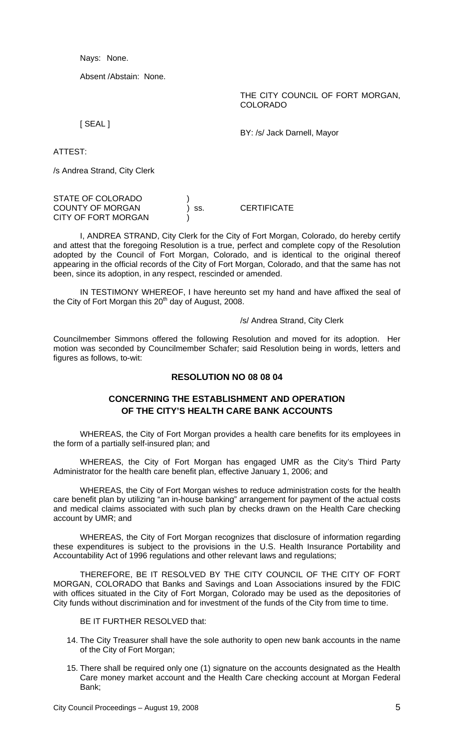Nays: None.

Absent /Abstain: None.

THE CITY COUNCIL OF FORT MORGAN, COLORADO

[ SEAL ]

BY: /s/ Jack Darnell, Mayor

ATTEST:

/s Andrea Strand, City Clerk

STATE OF COLORADO COUNTY OF MORGAN 
and the state of the SCERTIFICATE CITY OF FORT MORGAN

I, ANDREA STRAND, City Clerk for the City of Fort Morgan, Colorado, do hereby certify and attest that the foregoing Resolution is a true, perfect and complete copy of the Resolution adopted by the Council of Fort Morgan, Colorado, and is identical to the original thereof appearing in the official records of the City of Fort Morgan, Colorado, and that the same has not been, since its adoption, in any respect, rescinded or amended.

IN TESTIMONY WHEREOF, I have hereunto set my hand and have affixed the seal of the City of Fort Morgan this  $20<sup>th</sup>$  day of August, 2008.

#### /s/ Andrea Strand, City Clerk

Councilmember Simmons offered the following Resolution and moved for its adoption. Her motion was seconded by Councilmember Schafer; said Resolution being in words, letters and figures as follows, to-wit:

# **RESOLUTION NO 08 08 04**

# **CONCERNING THE ESTABLISHMENT AND OPERATION OF THE CITY'S HEALTH CARE BANK ACCOUNTS**

WHEREAS, the City of Fort Morgan provides a health care benefits for its employees in the form of a partially self-insured plan; and

WHEREAS, the City of Fort Morgan has engaged UMR as the City's Third Party Administrator for the health care benefit plan, effective January 1, 2006; and

WHEREAS, the City of Fort Morgan wishes to reduce administration costs for the health care benefit plan by utilizing "an in-house banking" arrangement for payment of the actual costs and medical claims associated with such plan by checks drawn on the Health Care checking account by UMR; and

WHEREAS, the City of Fort Morgan recognizes that disclosure of information regarding these expenditures is subject to the provisions in the U.S. Health Insurance Portability and Accountability Act of 1996 regulations and other relevant laws and regulations;

THEREFORE, BE IT RESOLVED BY THE CITY COUNCIL OF THE CITY OF FORT MORGAN, COLORADO that Banks and Savings and Loan Associations insured by the FDIC with offices situated in the City of Fort Morgan, Colorado may be used as the depositories of City funds without discrimination and for investment of the funds of the City from time to time.

### BE IT FURTHER RESOLVED that:

- 14. The City Treasurer shall have the sole authority to open new bank accounts in the name of the City of Fort Morgan;
- 15. There shall be required only one (1) signature on the accounts designated as the Health Care money market account and the Health Care checking account at Morgan Federal Bank;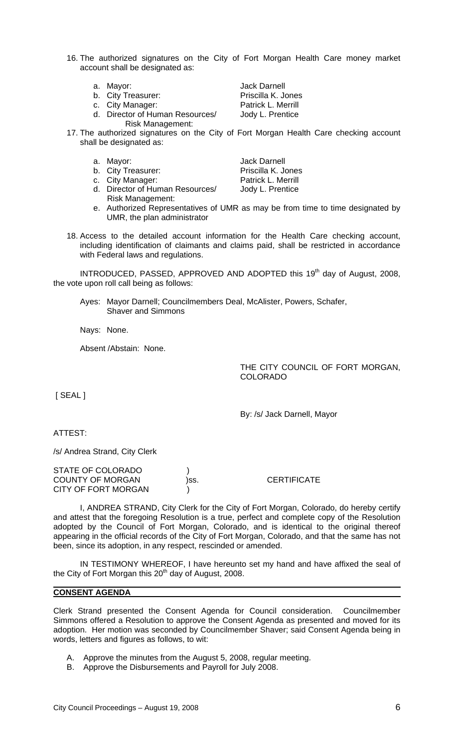- 16. The authorized signatures on the City of Fort Morgan Health Care money market account shall be designated as:
	-
	- b. City Treasurer: Priscilla K. Jones
	- c. City Manager: The Patrick L. Merrill
	- d. Director of Human Resources/ Jody L. Prentice
		- Risk Management:

a. Mayor: **Jack Darnell** 

- 17. The authorized signatures on the City of Fort Morgan Health Care checking account shall be designated as:
	- a. Mayor: **Jack Darnell**
	-
	-

d. Director of Human Resources/ Jody L. Prentice Risk Management:

b. City Treasurer: Priscilla K. Jones c. City Manager: Patrick L. Merrill

- e. Authorized Representatives of UMR as may be from time to time designated by UMR, the plan administrator
- 18. Access to the detailed account information for the Health Care checking account, including identification of claimants and claims paid, shall be restricted in accordance with Federal laws and regulations.

INTRODUCED, PASSED, APPROVED AND ADOPTED this 19<sup>th</sup> day of August, 2008, the vote upon roll call being as follows:

Ayes: Mayor Darnell; Councilmembers Deal, McAlister, Powers, Schafer, Shaver and Simmons

Nays: None.

Absent /Abstain: None.

THE CITY COUNCIL OF FORT MORGAN, COLORADO

[ SEAL ]

By: /s/ Jack Darnell, Mayor

**CERTIFICATE** 

ATTEST:

/s/ Andrea Strand, City Clerk

| STATE OF COLORADO       |      |
|-------------------------|------|
| <b>COUNTY OF MORGAN</b> | )SS. |
| CITY OF FORT MORGAN     |      |

I, ANDREA STRAND, City Clerk for the City of Fort Morgan, Colorado, do hereby certify and attest that the foregoing Resolution is a true, perfect and complete copy of the Resolution adopted by the Council of Fort Morgan, Colorado, and is identical to the original thereof appearing in the official records of the City of Fort Morgan, Colorado, and that the same has not been, since its adoption, in any respect, rescinded or amended.

IN TESTIMONY WHEREOF, I have hereunto set my hand and have affixed the seal of the City of Fort Morgan this 20<sup>th</sup> day of August, 2008.

# **CONSENT AGENDA**

Clerk Strand presented the Consent Agenda for Council consideration. Councilmember Simmons offered a Resolution to approve the Consent Agenda as presented and moved for its adoption. Her motion was seconded by Councilmember Shaver; said Consent Agenda being in words, letters and figures as follows, to wit:

- A. Approve the minutes from the August 5, 2008, regular meeting.
- B. Approve the Disbursements and Payroll for July 2008.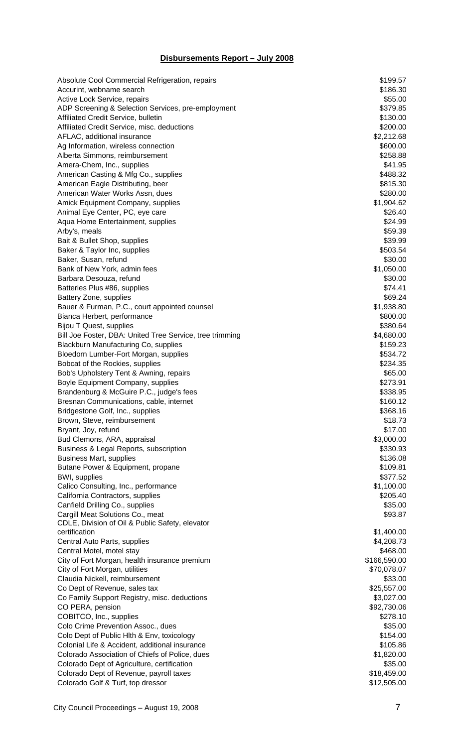# **Disbursements Report – July 2008**

|                                                          | \$199.57     |
|----------------------------------------------------------|--------------|
| Absolute Cool Commercial Refrigeration, repairs          |              |
| Accurint, webname search                                 | \$186.30     |
| Active Lock Service, repairs                             | \$55.00      |
| ADP Screening & Selection Services, pre-employment       | \$379.85     |
| Affiliated Credit Service, bulletin                      | \$130.00     |
| Affiliated Credit Service, misc. deductions              | \$200.00     |
| AFLAC, additional insurance                              | \$2,212.68   |
| Ag Information, wireless connection                      | \$600.00     |
| Alberta Simmons, reimbursement                           | \$258.88     |
| Amera-Chem, Inc., supplies                               | \$41.95      |
|                                                          |              |
| American Casting & Mfg Co., supplies                     | \$488.32     |
| American Eagle Distributing, beer                        | \$815.30     |
| American Water Works Assn, dues                          | \$280.00     |
| Amick Equipment Company, supplies                        | \$1,904.62   |
| Animal Eye Center, PC, eye care                          | \$26.40      |
| Aqua Home Entertainment, supplies                        | \$24.99      |
| Arby's, meals                                            | \$59.39      |
| Bait & Bullet Shop, supplies                             | \$39.99      |
| Baker & Taylor Inc, supplies                             | \$503.54     |
| Baker, Susan, refund                                     | \$30.00      |
| Bank of New York, admin fees                             | \$1,050.00   |
|                                                          |              |
| Barbara Desouza, refund                                  | \$30.00      |
| Batteries Plus #86, supplies                             | \$74.41      |
| Battery Zone, supplies                                   | \$69.24      |
| Bauer & Furman, P.C., court appointed counsel            | \$1,938.80   |
| Bianca Herbert, performance                              | \$800.00     |
| Bijou T Quest, supplies                                  | \$380.64     |
| Bill Joe Foster, DBA: United Tree Service, tree trimming | \$4,680.00   |
| Blackburn Manufacturing Co, supplies                     | \$159.23     |
| Bloedorn Lumber-Fort Morgan, supplies                    | \$534.72     |
| Bobcat of the Rockies, supplies                          | \$234.35     |
| Bob's Upholstery Tent & Awning, repairs                  | \$65.00      |
|                                                          | \$273.91     |
| Boyle Equipment Company, supplies                        |              |
| Brandenburg & McGuire P.C., judge's fees                 | \$338.95     |
| Bresnan Communications, cable, internet                  | \$160.12     |
| Bridgestone Golf, Inc., supplies                         | \$368.16     |
| Brown, Steve, reimbursement                              | \$18.73      |
| Bryant, Joy, refund                                      | \$17.00      |
| Bud Clemons, ARA, appraisal                              | \$3,000.00   |
| Business & Legal Reports, subscription                   | \$330.93     |
| <b>Business Mart, supplies</b>                           | \$136.08     |
| Butane Power & Equipment, propane                        | \$109.81     |
| <b>BWI, supplies</b>                                     | \$377.52     |
| Calico Consulting, Inc., performance                     | \$1,100.00   |
|                                                          |              |
| California Contractors, supplies                         | \$205.40     |
| Canfield Drilling Co., supplies                          | \$35.00      |
| Cargill Meat Solutions Co., meat                         | \$93.87      |
| CDLE, Division of Oil & Public Safety, elevator          |              |
| certification                                            | \$1,400.00   |
| Central Auto Parts, supplies                             | \$4,208.73   |
| Central Motel, motel stay                                | \$468.00     |
| City of Fort Morgan, health insurance premium            | \$166,590.00 |
| City of Fort Morgan, utilities                           | \$70,078.07  |
| Claudia Nickell, reimbursement                           | \$33.00      |
| Co Dept of Revenue, sales tax                            | \$25,557.00  |
| Co Family Support Registry, misc. deductions             | \$3,027.00   |
| CO PERA, pension                                         | \$92,730.06  |
| COBITCO, Inc., supplies                                  | \$278.10     |
|                                                          |              |
| Colo Crime Prevention Assoc., dues                       | \$35.00      |
| Colo Dept of Public Hith & Env, toxicology               | \$154.00     |
| Colonial Life & Accident, additional insurance           | \$105.86     |
| Colorado Association of Chiefs of Police, dues           | \$1,820.00   |
| Colorado Dept of Agriculture, certification              | \$35.00      |
| Colorado Dept of Revenue, payroll taxes                  | \$18,459.00  |
| Colorado Golf & Turf, top dressor                        | \$12,505.00  |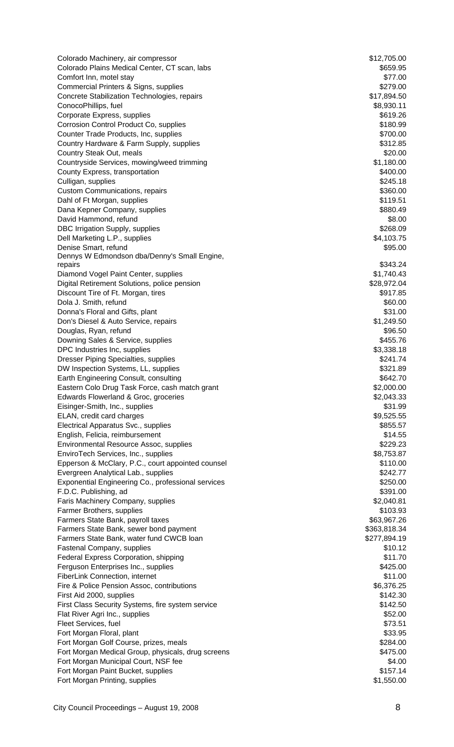| Colorado Machinery, air compressor                                                         | \$12,705.00            |
|--------------------------------------------------------------------------------------------|------------------------|
| Colorado Plains Medical Center, CT scan, labs                                              | \$659.95               |
| Comfort Inn, motel stay                                                                    | \$77.00                |
| Commercial Printers & Signs, supplies                                                      | \$279.00               |
| Concrete Stabilization Technologies, repairs                                               | \$17,894.50            |
| ConocoPhillips, fuel                                                                       | \$8,930.11             |
| Corporate Express, supplies                                                                | \$619.26<br>\$180.99   |
| Corrosion Control Product Co, supplies<br>Counter Trade Products, Inc, supplies            | \$700.00               |
| Country Hardware & Farm Supply, supplies                                                   | \$312.85               |
| Country Steak Out, meals                                                                   | \$20.00                |
| Countryside Services, mowing/weed trimming                                                 | \$1,180.00             |
| County Express, transportation                                                             | \$400.00               |
| Culligan, supplies                                                                         | \$245.18               |
| <b>Custom Communications, repairs</b>                                                      | \$360.00               |
| Dahl of Ft Morgan, supplies                                                                | \$119.51               |
| Dana Kepner Company, supplies                                                              | \$880.49               |
| David Hammond, refund                                                                      | \$8.00                 |
| DBC Irrigation Supply, supplies                                                            | \$268.09               |
| Dell Marketing L.P., supplies                                                              | \$4,103.75             |
| Denise Smart, refund                                                                       | \$95.00                |
| Dennys W Edmondson dba/Denny's Small Engine,<br>repairs                                    | \$343.24               |
| Diamond Vogel Paint Center, supplies                                                       | \$1,740.43             |
| Digital Retirement Solutions, police pension                                               | \$28,972.04            |
| Discount Tire of Ft. Morgan, tires                                                         | \$917.85               |
| Dola J. Smith, refund                                                                      | \$60.00                |
| Donna's Floral and Gifts, plant                                                            | \$31.00                |
| Don's Diesel & Auto Service, repairs                                                       | \$1,249.50             |
| Douglas, Ryan, refund                                                                      | \$96.50                |
| Downing Sales & Service, supplies                                                          | \$455.76               |
| DPC Industries Inc, supplies                                                               | \$3,338.18             |
| <b>Dresser Piping Specialties, supplies</b>                                                | \$241.74               |
| DW Inspection Systems, LL, supplies                                                        | \$321.89               |
| Earth Engineering Consult, consulting                                                      | \$642.70               |
| Eastern Colo Drug Task Force, cash match grant                                             | \$2,000.00             |
| Edwards Flowerland & Groc, groceries                                                       | \$2,043.33             |
| Eisinger-Smith, Inc., supplies                                                             | \$31.99                |
| ELAN, credit card charges                                                                  | \$9,525.55             |
| Electrical Apparatus Svc., supplies                                                        | \$855.57               |
| English, Felicia, reimbursement                                                            | \$14.55                |
| Environmental Resource Assoc, supplies<br>EnviroTech Services, Inc., supplies              | \$229.23<br>\$8,753.87 |
| Epperson & McClary, P.C., court appointed counsel                                          | \$110.00               |
| Evergreen Analytical Lab., supplies                                                        | \$242.77               |
| Exponential Engineering Co., professional services                                         | \$250.00               |
| F.D.C. Publishing, ad                                                                      | \$391.00               |
| Faris Machinery Company, supplies                                                          | \$2,040.81             |
| Farmer Brothers, supplies                                                                  | \$103.93               |
| Farmers State Bank, payroll taxes                                                          | \$63,967.26            |
| Farmers State Bank, sewer bond payment                                                     | \$363,818.34           |
| Farmers State Bank, water fund CWCB loan                                                   | \$277,894.19           |
| <b>Fastenal Company, supplies</b>                                                          | \$10.12                |
| Federal Express Corporation, shipping                                                      | \$11.70                |
| Ferguson Enterprises Inc., supplies                                                        | \$425.00               |
| FiberLink Connection, internet                                                             | \$11.00                |
| Fire & Police Pension Assoc, contributions                                                 | \$6,376.25             |
| First Aid 2000, supplies                                                                   | \$142.30               |
| First Class Security Systems, fire system service                                          | \$142.50               |
| Flat River Agri Inc., supplies                                                             | \$52.00                |
| Fleet Services, fuel                                                                       | \$73.51                |
| Fort Morgan Floral, plant                                                                  | \$33.95                |
| Fort Morgan Golf Course, prizes, meals                                                     | \$284.00               |
| Fort Morgan Medical Group, physicals, drug screens<br>Fort Morgan Municipal Court, NSF fee | \$475.00               |
| Fort Morgan Paint Bucket, supplies                                                         | \$4.00<br>\$157.14     |
| Fort Morgan Printing, supplies                                                             | \$1,550.00             |
|                                                                                            |                        |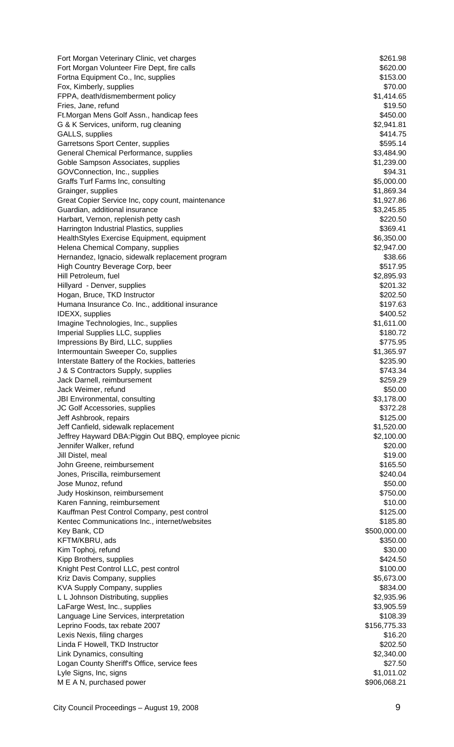| Fort Morgan Veterinary Clinic, vet charges                                        | \$261.98               |
|-----------------------------------------------------------------------------------|------------------------|
| Fort Morgan Volunteer Fire Dept, fire calls                                       | \$620.00               |
| Fortna Equipment Co., Inc, supplies                                               | \$153.00               |
| Fox, Kimberly, supplies                                                           | \$70.00                |
| FPPA, death/dismemberment policy                                                  | \$1,414.65             |
| Fries, Jane, refund<br>Ft. Morgan Mens Golf Assn., handicap fees                  | \$19.50<br>\$450.00    |
| G & K Services, uniform, rug cleaning                                             | \$2,941.81             |
| GALLS, supplies                                                                   | \$414.75               |
| Garretsons Sport Center, supplies                                                 | \$595.14               |
| General Chemical Performance, supplies                                            | \$3,484.90             |
| Goble Sampson Associates, supplies                                                | \$1,239.00             |
| GOVConnection, Inc., supplies                                                     | \$94.31                |
| Graffs Turf Farms Inc, consulting                                                 | \$5,000.00             |
| Grainger, supplies                                                                | \$1,869.34             |
| Great Copier Service Inc, copy count, maintenance                                 | \$1,927.86             |
| Guardian, additional insurance                                                    | \$3,245.85<br>\$220.50 |
| Harbart, Vernon, replenish petty cash<br>Harrington Industrial Plastics, supplies | \$369.41               |
| HealthStyles Exercise Equipment, equipment                                        | \$6,350.00             |
| Helena Chemical Company, supplies                                                 | \$2,947.00             |
| Hernandez, Ignacio, sidewalk replacement program                                  | \$38.66                |
| High Country Beverage Corp, beer                                                  | \$517.95               |
| Hill Petroleum, fuel                                                              | \$2,895.93             |
| Hillyard - Denver, supplies                                                       | \$201.32               |
| Hogan, Bruce, TKD Instructor                                                      | \$202.50               |
| Humana Insurance Co. Inc., additional insurance                                   | \$197.63               |
| IDEXX, supplies                                                                   | \$400.52               |
| Imagine Technologies, Inc., supplies<br>Imperial Supplies LLC, supplies           | \$1,611.00<br>\$180.72 |
| Impressions By Bird, LLC, supplies                                                | \$775.95               |
| Intermountain Sweeper Co, supplies                                                | \$1,365.97             |
| Interstate Battery of the Rockies, batteries                                      | \$235.90               |
| J & S Contractors Supply, supplies                                                | \$743.34               |
| Jack Darnell, reimbursement                                                       | \$259.29               |
| Jack Weimer, refund                                                               | \$50.00                |
| JBI Environmental, consulting                                                     | \$3,178.00             |
| JC Golf Accessories, supplies                                                     | \$372.28               |
| Jeff Ashbrook, repairs                                                            | \$125.00               |
| Jeff Canfield, sidewalk replacement                                               | \$1,520.00             |
| Jeffrey Hayward DBA: Piggin Out BBQ, employee picnic<br>Jennifer Walker, refund   | \$2,100.00<br>\$20.00  |
| Jill Distel, meal                                                                 | \$19.00                |
| John Greene, reimbursement                                                        | \$165.50               |
| Jones, Priscilla, reimbursement                                                   | \$240.04               |
| Jose Munoz, refund                                                                | \$50.00                |
| Judy Hoskinson, reimbursement                                                     | \$750.00               |
| Karen Fanning, reimbursement                                                      | \$10.00                |
| Kauffman Pest Control Company, pest control                                       | \$125.00               |
| Kentec Communications Inc., internet/websites                                     | \$185.80               |
| Key Bank, CD                                                                      | \$500,000.00           |
| KFTM/KBRU, ads<br>Kim Tophoj, refund                                              | \$350.00<br>\$30.00    |
| Kipp Brothers, supplies                                                           | \$424.50               |
| Knight Pest Control LLC, pest control                                             | \$100.00               |
| Kriz Davis Company, supplies                                                      | \$5,673.00             |
| KVA Supply Company, supplies                                                      | \$834.00               |
| L L Johnson Distributing, supplies                                                | \$2,935.96             |
| LaFarge West, Inc., supplies                                                      | \$3,905.59             |
| Language Line Services, interpretation                                            | \$108.39               |
| Leprino Foods, tax rebate 2007                                                    | \$156,775.33           |
| Lexis Nexis, filing charges                                                       | \$16.20                |
| Linda F Howell, TKD Instructor<br>Link Dynamics, consulting                       | \$202.50<br>\$2,340.00 |
| Logan County Sheriff's Office, service fees                                       | \$27.50                |
| Lyle Signs, Inc, signs                                                            | \$1,011.02             |
| M E A N, purchased power                                                          | \$906,068.21           |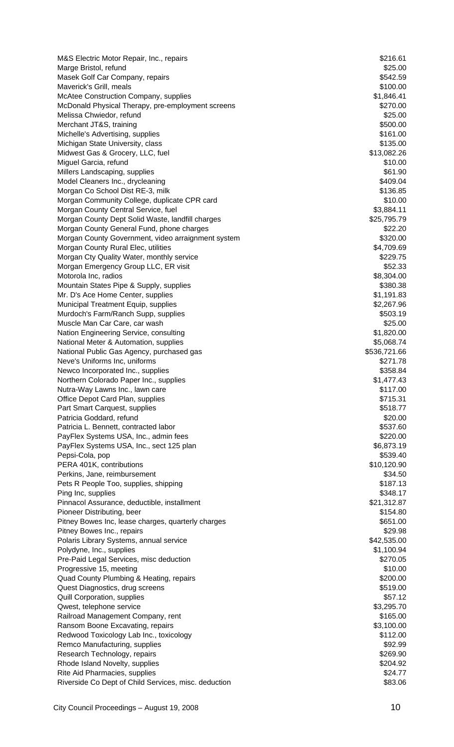| M&S Electric Motor Repair, Inc., repairs                                         | \$216.61                |
|----------------------------------------------------------------------------------|-------------------------|
| Marge Bristol, refund                                                            | \$25.00                 |
| Masek Golf Car Company, repairs                                                  | \$542.59                |
| Maverick's Grill, meals                                                          | \$100.00                |
| McAtee Construction Company, supplies                                            | \$1,846.41              |
| McDonald Physical Therapy, pre-employment screens                                | \$270.00                |
| Melissa Chwiedor, refund                                                         | \$25.00                 |
| Merchant JT&S, training                                                          | \$500.00                |
| Michelle's Advertising, supplies<br>Michigan State University, class             | \$161.00<br>\$135.00    |
| Midwest Gas & Grocery, LLC, fuel                                                 | \$13,082.26             |
| Miguel Garcia, refund                                                            | \$10.00                 |
| Millers Landscaping, supplies                                                    | \$61.90                 |
| Model Cleaners Inc., drycleaning                                                 | \$409.04                |
| Morgan Co School Dist RE-3, milk                                                 | \$136.85                |
| Morgan Community College, duplicate CPR card                                     | \$10.00                 |
| Morgan County Central Service, fuel                                              | \$3,884.11              |
| Morgan County Dept Solid Waste, landfill charges                                 | \$25,795.79             |
| Morgan County General Fund, phone charges                                        | \$22.20                 |
| Morgan County Government, video arraignment system                               | \$320.00                |
| Morgan County Rural Elec, utilities                                              | \$4,709.69              |
| Morgan Cty Quality Water, monthly service                                        | \$229.75                |
| Morgan Emergency Group LLC, ER visit                                             | \$52.33                 |
| Motorola Inc, radios                                                             | \$8,304.00              |
| Mountain States Pipe & Supply, supplies                                          | \$380.38                |
| Mr. D's Ace Home Center, supplies                                                | \$1,191.83              |
| Municipal Treatment Equip, supplies                                              | \$2,267.96              |
| Murdoch's Farm/Ranch Supp, supplies<br>Muscle Man Car Care, car wash             | \$503.19<br>\$25.00     |
| Nation Engineering Service, consulting                                           | \$1,820.00              |
| National Meter & Automation, supplies                                            | \$5,068.74              |
| National Public Gas Agency, purchased gas                                        | \$536,721.66            |
| Neve's Uniforms Inc, uniforms                                                    | \$271.78                |
| Newco Incorporated Inc., supplies                                                | \$358.84                |
| Northern Colorado Paper Inc., supplies                                           | \$1,477.43              |
| Nutra-Way Lawns Inc., lawn care                                                  | \$117.00                |
| Office Depot Card Plan, supplies                                                 | \$715.31                |
| Part Smart Carquest, supplies                                                    | \$518.77                |
| Patricia Goddard, refund                                                         | \$20.00                 |
| Patricia L. Bennett, contracted labor                                            | \$537.60                |
| PayFlex Systems USA, Inc., admin fees                                            | \$220.00                |
| PayFlex Systems USA, Inc., sect 125 plan                                         | \$6,873.19              |
| Pepsi-Cola, pop                                                                  | \$539.40                |
| PERA 401K, contributions                                                         | \$10,120.90             |
| Perkins, Jane, reimbursement                                                     | \$34.50                 |
| Pets R People Too, supplies, shipping                                            | \$187.13                |
| Ping Inc, supplies                                                               | \$348.17                |
| Pinnacol Assurance, deductible, installment                                      | \$21,312.87<br>\$154.80 |
| Pioneer Distributing, beer<br>Pitney Bowes Inc, lease charges, quarterly charges | \$651.00                |
| Pitney Bowes Inc., repairs                                                       | \$29.98                 |
| Polaris Library Systems, annual service                                          | \$42,535.00             |
| Polydyne, Inc., supplies                                                         | \$1,100.94              |
| Pre-Paid Legal Services, misc deduction                                          | \$270.05                |
| Progressive 15, meeting                                                          | \$10.00                 |
| Quad County Plumbing & Heating, repairs                                          | \$200.00                |
| Quest Diagnostics, drug screens                                                  | \$519.00                |
| Quill Corporation, supplies                                                      | \$57.12                 |
| Qwest, telephone service                                                         | \$3,295.70              |
| Railroad Management Company, rent                                                | \$165.00                |
| Ransom Boone Excavating, repairs                                                 | \$3,100.00              |
| Redwood Toxicology Lab Inc., toxicology                                          | \$112.00                |
| Remco Manufacturing, supplies                                                    | \$92.99                 |
| Research Technology, repairs                                                     | \$269.90                |
| Rhode Island Novelty, supplies                                                   | \$204.92                |
| Rite Aid Pharmacies, supplies                                                    | \$24.77                 |
| Riverside Co Dept of Child Services, misc. deduction                             | \$83.06                 |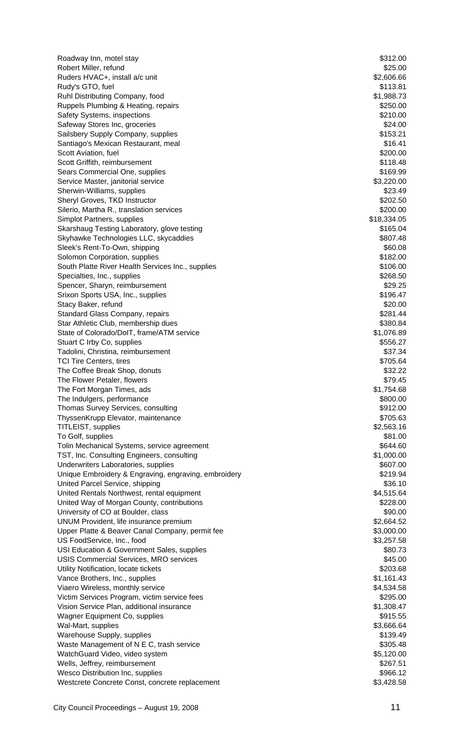| Roadway Inn, motel stay                                                       | \$312.00                 |
|-------------------------------------------------------------------------------|--------------------------|
| Robert Miller, refund                                                         | \$25.00                  |
| Ruders HVAC+, install a/c unit                                                | \$2,606.66               |
| Rudy's GTO, fuel                                                              | \$113.81                 |
| Ruhl Distributing Company, food                                               | \$1,988.73               |
| Ruppels Plumbing & Heating, repairs                                           | \$250.00                 |
| Safety Systems, inspections                                                   | \$210.00                 |
| Safeway Stores Inc, groceries                                                 | \$24.00                  |
| Sailsbery Supply Company, supplies<br>Santiago's Mexican Restaurant, meal     | \$153.21<br>\$16.41      |
| Scott Aviation, fuel                                                          | \$200.00                 |
| Scott Griffith, reimbursement                                                 | \$118.48                 |
| Sears Commercial One, supplies                                                | \$169.99                 |
| Service Master, janitorial service                                            | \$3,220.00               |
| Sherwin-Williams, supplies                                                    | \$23.49                  |
| Sheryl Groves, TKD Instructor                                                 | \$202.50                 |
| Silerio, Martha R., translation services                                      | \$200.00                 |
| Simplot Partners, supplies                                                    | \$18,334.05              |
| Skarshaug Testing Laboratory, glove testing                                   | \$165.04                 |
| Skyhawke Technologies LLC, skycaddies                                         | \$807.48                 |
| Sleek's Rent-To-Own, shipping                                                 | \$60.08                  |
| Solomon Corporation, supplies                                                 | \$182.00                 |
| South Platte River Health Services Inc., supplies                             | \$106.00                 |
| Specialties, Inc., supplies                                                   | \$268.50                 |
| Spencer, Sharyn, reimbursement                                                | \$29.25                  |
| Srixon Sports USA, Inc., supplies                                             | \$196.47                 |
| Stacy Baker, refund                                                           | \$20.00                  |
| Standard Glass Company, repairs                                               | \$281.44                 |
| Star Athletic Club, membership dues                                           | \$380.84                 |
| State of Colorado/DoIT, frame/ATM service<br>Stuart C Irby Co, supplies       | \$1,076.89<br>\$556.27   |
| Tadolini, Christina, reimbursement                                            | \$37.34                  |
| <b>TCI Tire Centers, tires</b>                                                | \$705.64                 |
| The Coffee Break Shop, donuts                                                 | \$32.22                  |
| The Flower Petaler, flowers                                                   | \$79.45                  |
| The Fort Morgan Times, ads                                                    | \$1,754.68               |
| The Indulgers, performance                                                    | \$800.00                 |
| Thomas Survey Services, consulting                                            | \$912.00                 |
| ThyssenKrupp Elevator, maintenance                                            | \$705.63                 |
| TITLEIST, supplies                                                            | \$2,563.16               |
| To Golf, supplies                                                             | \$81.00                  |
| Tolin Mechanical Systems, service agreement                                   | \$644.60                 |
| TST, Inc. Consulting Engineers, consulting                                    | \$1,000.00               |
| Underwriters Laboratories, supplies                                           | \$607.00                 |
| Unique Embroidery & Engraving, engraving, embroidery                          | \$219.94                 |
| United Parcel Service, shipping                                               | \$36.10                  |
| United Rentals Northwest, rental equipment                                    | \$4,515.64               |
| United Way of Morgan County, contributions                                    | \$228.00                 |
| University of CO at Boulder, class                                            | \$90.00                  |
| UNUM Provident, life insurance premium                                        | \$2,664.52               |
| Upper Platte & Beaver Canal Company, permit fee<br>US FoodService, Inc., food | \$3,000.00<br>\$3,257.58 |
| USI Education & Government Sales, supplies                                    | \$80.73                  |
| USIS Commercial Services, MRO services                                        | \$45.00                  |
| Utility Notification, locate tickets                                          | \$203.68                 |
| Vance Brothers, Inc., supplies                                                | \$1,161.43               |
| Viaero Wireless, monthly service                                              | \$4,534.58               |
| Victim Services Program, victim service fees                                  | \$295.00                 |
| Vision Service Plan, additional insurance                                     | \$1,308.47               |
| Wagner Equipment Co, supplies                                                 | \$915.55                 |
| Wal-Mart, supplies                                                            | \$3,666.64               |
| Warehouse Supply, supplies                                                    | \$139.49                 |
| Waste Management of N E C, trash service                                      | \$305.48                 |
| WatchGuard Video, video system                                                | \$5,120.00               |
| Wells, Jeffrey, reimbursement                                                 | \$267.51                 |
| Wesco Distribution Inc, supplies                                              | \$966.12                 |
| Westcrete Concrete Const, concrete replacement                                | \$3,428.58               |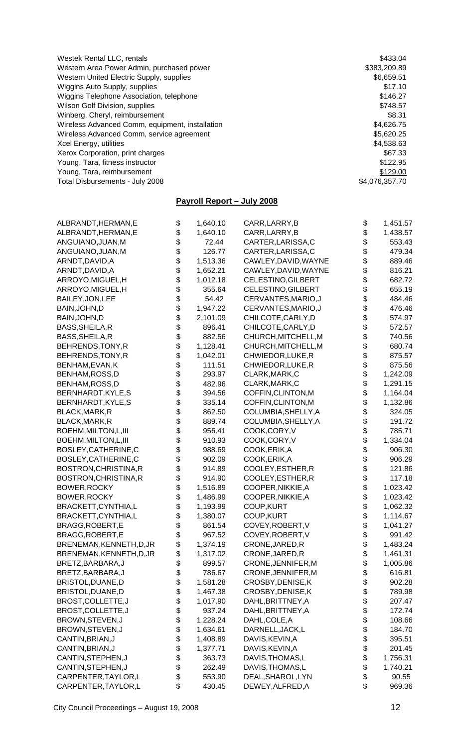| Westek Rental LLC, rentals                      | \$433.04       |
|-------------------------------------------------|----------------|
| Western Area Power Admin, purchased power       | \$383,209.89   |
| Western United Electric Supply, supplies        | \$6,659.51     |
| Wiggins Auto Supply, supplies                   | \$17.10        |
| Wiggins Telephone Association, telephone        | \$146.27       |
| Wilson Golf Division, supplies                  | \$748.57       |
| Winberg, Cheryl, reimbursement                  | \$8.31         |
| Wireless Advanced Comm, equipment, installation | \$4,626.75     |
| Wireless Advanced Comm, service agreement       | \$5,620.25     |
| Xcel Energy, utilities                          | \$4,538.63     |
| Xerox Corporation, print charges                | \$67.33        |
| Young, Tara, fitness instructor                 | \$122.95       |
| Young, Tara, reimbursement                      | \$129.00       |
| Total Disbursements - July 2008                 | \$4,076,357.70 |

# **Payroll Report – July 2008**

| ALBRANDT, HERMAN, E      | \$<br>1,640.10 | CARR, LARRY, B            | \$       | 1,451.57 |
|--------------------------|----------------|---------------------------|----------|----------|
| ALBRANDT, HERMAN, E      | \$<br>1,640.10 | CARR, LARRY, B            | \$       | 1,438.57 |
| ANGUIANO, JUAN, M        | \$<br>72.44    | CARTER, LARISSA, C        | \$       | 553.43   |
| ANGUIANO, JUAN, M        | \$<br>126.77   | CARTER, LARISSA, C        | \$       | 479.34   |
| ARNDT, DAVID, A          | \$<br>1,513.36 | CAWLEY, DAVID, WAYNE      | \$       | 889.46   |
| ARNDT, DAVID, A          | \$<br>1,652.21 | CAWLEY, DAVID, WAYNE      | \$       | 816.21   |
| ARROYO, MIGUEL, H        | \$<br>1,012.18 | <b>CELESTINO, GILBERT</b> | \$       | 682.72   |
| ARROYO, MIGUEL, H        | \$<br>355.64   | <b>CELESTINO, GILBERT</b> | \$       | 655.19   |
| BAILEY, JON, LEE         | \$<br>54.42    | CERVANTES, MARIO, J       | \$       | 484.46   |
| BAIN, JOHN, D            | \$<br>1,947.22 | CERVANTES, MARIO, J       | \$       | 476.46   |
| BAIN, JOHN, D            | \$<br>2,101.09 | CHILCOTE, CARLY, D        |          |          |
|                          | \$             |                           | \$       | 574.97   |
| BASS, SHEILA, R          | 896.41         | CHILCOTE, CARLY, D        | \$       | 572.57   |
| BASS, SHEILA, R          | \$<br>882.56   | CHURCH, MITCHELL, M       | \$       | 740.56   |
| BEHRENDS, TONY, R        | \$<br>1,128.41 | CHURCH, MITCHELL, M       | \$       | 680.74   |
| BEHRENDS, TONY, R        | \$<br>1,042.01 | CHWIEDOR, LUKE, R         | \$       | 875.57   |
| BENHAM, EVAN, K          | \$<br>111.51   | CHWIEDOR, LUKE, R         | \$       | 875.56   |
| BENHAM, ROSS, D          | \$<br>293.97   | CLARK, MARK, C            | \$       | 1,242.09 |
| BENHAM, ROSS, D          | \$<br>482.96   | CLARK, MARK, C            | \$       | 1,291.15 |
| BERNHARDT, KYLE, S       | \$<br>394.56   | COFFIN, CLINTON, M        | \$       | 1,164.04 |
| BERNHARDT, KYLE, S       | \$<br>335.14   | COFFIN, CLINTON, M        | \$       | 1,132.86 |
| BLACK, MARK, R           | \$<br>862.50   | COLUMBIA, SHELLY, A       | \$       | 324.05   |
| BLACK, MARK, R           | \$<br>889.74   | COLUMBIA, SHELLY, A       | \$       | 191.72   |
| BOEHM, MILTON, L, III    | \$<br>956.41   | COOK,CORY,V               | \$       | 785.71   |
| BOEHM, MILTON, L, III    | \$<br>910.93   | COOK,CORY,V               | \$       | 1,334.04 |
| BOSLEY, CATHERINE, C     | \$<br>988.69   | COOK, ERIK, A             | \$       | 906.30   |
| BOSLEY, CATHERINE, C     | \$<br>902.09   | COOK, ERIK, A             | \$       | 906.29   |
| BOSTRON, CHRISTINA, R    | \$<br>914.89   | COOLEY, ESTHER, R         | \$       | 121.86   |
| BOSTRON, CHRISTINA, R    | \$<br>914.90   | COOLEY, ESTHER, R         | \$       | 117.18   |
| BOWER, ROCKY             | \$<br>1,516.89 | COOPER, NIKKIE, A         | \$       | 1,023.42 |
| BOWER, ROCKY             | \$<br>1,486.99 | COOPER, NIKKIE, A         | \$       | 1,023.42 |
| BRACKETT, CYNTHIA, L     | \$<br>1,193.99 | COUP, KURT                | \$       | 1,062.32 |
| BRACKETT, CYNTHIA, L     | \$<br>1,380.07 | <b>COUP,KURT</b>          | \$       | 1,114.67 |
| BRAGG, ROBERT, E         | \$<br>861.54   | COVEY, ROBERT, V          | \$       | 1,041.27 |
| BRAGG, ROBERT, E         | \$<br>967.52   | COVEY, ROBERT, V          | \$       | 991.42   |
| BRENEMAN, KENNETH, D, JR | \$<br>1,374.19 | CRONE, JARED, R           | \$       | 1,483.24 |
| BRENEMAN, KENNETH, D, JR | \$<br>1,317.02 | CRONE, JARED, R           | \$       | 1,461.31 |
| BRETZ, BARBARA, J        | \$<br>899.57   | CRONE, JENNIFER, M        | \$       | 1,005.86 |
| BRETZ, BARBARA, J        | \$<br>786.67   | CRONE, JENNIFER, M        | \$       | 616.81   |
| BRISTOL, DUANE, D        | \$<br>1,581.28 | CROSBY, DENISE, K         | \$       | 902.28   |
| BRISTOL, DUANE, D        | \$<br>1,467.38 | CROSBY, DENISE, K         |          | 789.98   |
| BROST, COLLETTE, J       | \$<br>1,017.90 | DAHL, BRITTNEY, A         | \$\$     | 207.47   |
| BROST, COLLETTE, J       | \$<br>937.24   | DAHL, BRITTNEY, A         |          | 172.74   |
| BROWN, STEVEN, J         | \$<br>1,228.24 | DAHL, COLE, A             | \$       | 108.66   |
| BROWN, STEVEN, J         | \$<br>1,634.61 | DARNELL, JACK, L          | \$       | 184.70   |
| CANTIN, BRIAN, J         | \$<br>1,408.89 | DAVIS, KEVIN, A           |          | 395.51   |
| CANTIN, BRIAN, J         | \$<br>1,377.71 | DAVIS, KEVIN, A           | \$<br>\$ | 201.45   |
| CANTIN, STEPHEN, J       | \$<br>363.73   | DAVIS, THOMAS, L          |          | 1,756.31 |
| CANTIN, STEPHEN, J       | \$<br>262.49   | DAVIS, THOMAS, L          | \$<br>\$ | 1,740.21 |
| CARPENTER, TAYLOR, L     | \$<br>553.90   | DEAL, SHAROL, LYN         | \$       | 90.55    |
| CARPENTER, TAYLOR, L     | \$<br>430.45   | DEWEY, ALFRED, A          | \$       | 969.36   |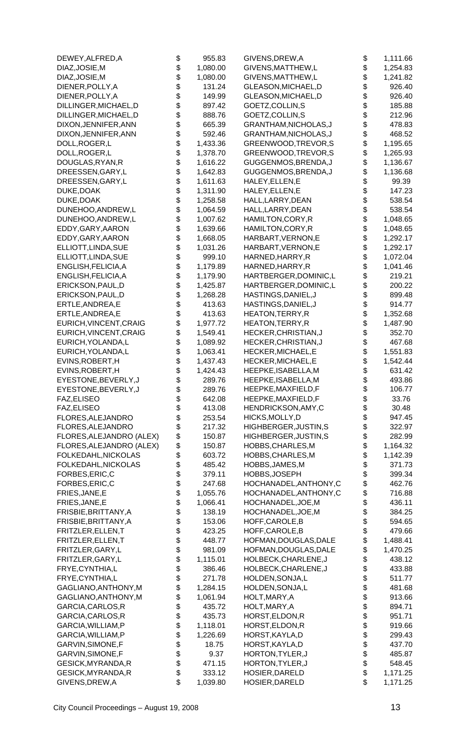| DEWEY, ALFRED, A                             | \$       | 955.83               | GIVENS, DREW, A                            | \$       | 1,111.66          |
|----------------------------------------------|----------|----------------------|--------------------------------------------|----------|-------------------|
| DIAZ, JOSIE, M                               | \$       | 1,080.00             | GIVENS, MATTHEW, L                         | \$       | 1,254.83          |
| DIAZ, JOSIE, M                               | \$       | 1,080.00             | GIVENS, MATTHEW, L                         | \$       | 1,241.82          |
| DIENER, POLLY, A                             | \$       | 131.24               | GLEASON, MICHAEL, D                        | \$       | 926.40            |
| DIENER, POLLY, A                             | \$       | 149.99               | GLEASON, MICHAEL, D                        | \$       | 926.40            |
| DILLINGER, MICHAEL, D                        | \$       | 897.42               | GOETZ, COLLIN, S                           | \$       | 185.88            |
| DILLINGER, MICHAEL, D                        | \$       | 888.76               | GOETZ, COLLIN, S                           | \$       | 212.96            |
| DIXON, JENNIFER, ANN                         | \$       | 665.39               | GRANTHAM, NICHOLAS, J                      | \$       | 478.83            |
| DIXON, JENNIFER, ANN                         | \$       | 592.46               | GRANTHAM, NICHOLAS, J                      | \$       | 468.52            |
| DOLL, ROGER, L                               | \$       | 1,433.36             | GREENWOOD, TREVOR, S                       | \$       | 1,195.65          |
| DOLL, ROGER, L                               | \$       | 1,378.70             | GREENWOOD, TREVOR, S                       | \$       | 1,265.93          |
| DOUGLAS, RYAN, R                             | \$       | 1,616.22             | GUGGENMOS, BRENDA, J                       | \$       | 1,136.67          |
| DREESSEN, GARY, L                            | \$<br>\$ | 1,642.83<br>1,611.63 | GUGGENMOS, BRENDA, J<br>HALEY, ELLEN, E    | \$       | 1,136.68<br>99.39 |
| DREESSEN, GARY, L<br>DUKE, DOAK              | \$       | 1,311.90             | HALEY, ELLEN, E                            | \$<br>\$ | 147.23            |
| DUKE, DOAK                                   | \$       | 1,258.58             | HALL, LARRY, DEAN                          | \$       | 538.54            |
| DUNEHOO, ANDREW, L                           | \$       | 1,064.59             | HALL, LARRY, DEAN                          | \$       | 538.54            |
| DUNEHOO, ANDREW, L                           | \$       | 1,007.62             | HAMILTON, CORY, R                          | \$       | 1,048.65          |
| EDDY, GARY, AARON                            | \$       | 1,639.66             | HAMILTON, CORY, R                          | \$       | 1,048.65          |
| EDDY, GARY, AARON                            | \$       | 1,668.05             | HARBART, VERNON, E                         | \$       | 1,292.17          |
| ELLIOTT, LINDA, SUE                          | \$       | 1,031.26             | HARBART, VERNON, E                         | \$       | 1,292.17          |
| ELLIOTT, LINDA, SUE                          | \$       | 999.10               | HARNED, HARRY, R                           | \$       | 1,072.04          |
| ENGLISH, FELICIA, A                          | \$       | 1,179.89             | HARNED, HARRY, R                           | \$       | 1,041.46          |
| ENGLISH, FELICIA, A                          | \$       | 1,179.90             | HARTBERGER, DOMINIC, L                     | \$       | 219.21            |
| ERICKSON, PAUL, D                            | \$       | 1,425.87             | HARTBERGER, DOMINIC, L                     | \$       | 200.22            |
| ERICKSON, PAUL, D                            | \$       | 1,268.28             | HASTINGS, DANIEL, J                        | \$       | 899.48            |
| ERTLE, ANDREA, E                             | \$       | 413.63               | HASTINGS, DANIEL, J                        | \$       | 914.77            |
| ERTLE, ANDREA, E                             | \$       | 413.63               | <b>HEATON, TERRY, R</b>                    | \$       | 1,352.68          |
| EURICH, VINCENT, CRAIG                       | \$       | 1,977.72             | HEATON, TERRY, R                           | \$       | 1,487.90          |
| EURICH, VINCENT, CRAIG                       | \$       | 1,549.41             | HECKER, CHRISTIAN, J                       | \$       | 352.70            |
| EURICH, YOLANDA, L                           | \$       | 1,089.92             | HECKER, CHRISTIAN, J                       | \$       | 467.68            |
| EURICH, YOLANDA, L                           | \$       | 1,063.41             | HECKER, MICHAEL, E                         | \$       | 1,551.83          |
| EVINS, ROBERT, H                             | \$       | 1,437.43             | HECKER, MICHAEL, E                         | \$       | 1,542.44          |
| EVINS, ROBERT, H                             | \$<br>\$ | 1,424.43             | HEEPKE, ISABELLA, M                        | \$<br>\$ | 631.42            |
| EYESTONE, BEVERLY, J<br>EYESTONE, BEVERLY, J |          | 289.76<br>289.76     | HEEPKE, ISABELLA, M<br>HEEPKE, MAXFIELD, F |          | 493.86<br>106.77  |
| FAZ, ELISEO                                  | \$<br>\$ | 642.08               | HEEPKE, MAXFIELD, F                        | \$<br>\$ | 33.76             |
| FAZ, ELISEO                                  | \$       | 413.08               | HENDRICKSON, AMY, C                        | \$       | 30.48             |
| FLORES, ALEJANDRO                            | \$       | 253.54               | HICKS, MOLLY, D                            | \$       | 947.45            |
| FLORES, ALEJANDRO                            | \$       | 217.32               | HIGHBERGER, JUSTIN, S                      | \$       | 322.97            |
| FLORES, ALEJANDRO (ALEX)                     | \$       | 150.87               | HIGHBERGER, JUSTIN, S                      | \$       | 282.99            |
| FLORES, ALEJANDRO (ALEX)                     | \$       | 150.87               | HOBBS, CHARLES, M                          | \$       | 1,164.32          |
| FOLKEDAHL, NICKOLAS                          |          | 603.72               | HOBBS, CHARLES, M                          | \$       | 1,142.39          |
| FOLKEDAHL, NICKOLAS                          | \$       | 485.42               | HOBBS, JAMES, M                            | \$       | 371.73            |
| FORBES, ERIC, C                              | \$       | 379.11               | HOBBS, JOSEPH                              | \$       | 399.34            |
| FORBES, ERIC, C                              | \$       | 247.68               | HOCHANADEL, ANTHONY, C                     | \$       | 462.76            |
| FRIES, JANE, E                               | \$       | 1,055.76             | HOCHANADEL, ANTHONY, C                     | \$       | 716.88            |
| FRIES, JANE, E                               | \$       | 1,066.41             | HOCHANADEL, JOE, M                         | \$       | 436.11            |
| FRISBIE, BRITTANY, A                         | \$       | 138.19               | HOCHANADEL, JOE, M                         | \$       | 384.25            |
| FRISBIE, BRITTANY, A                         | \$       | 153.06               | HOFF, CAROLE, B                            | \$       | 594.65            |
| FRITZLER, ELLEN, T                           | \$<br>\$ | 423.25               | HOFF, CAROLE, B                            | \$       | 479.66            |
| FRITZLER, ELLEN, T                           |          | 448.77               | HOFMAN, DOUGLAS, DALE                      | \$       | 1,488.41          |
| FRITZLER, GARY, L                            | \$       | 981.09               | HOFMAN, DOUGLAS, DALE                      | \$       | 1,470.25          |
| FRITZLER, GARY, L                            | \$       | 1,115.01             | HOLBECK, CHARLENE, J                       | \$       | 438.12            |
| FRYE, CYNTHIA, L                             | \$       | 386.46               | HOLBECK, CHARLENE, J                       | \$<br>\$ | 433.88            |
| FRYE, CYNTHIA, L<br>GAGLIANO, ANTHONY, M     | \$<br>\$ | 271.78<br>1,284.15   | HOLDEN, SONJA, L<br>HOLDEN, SONJA, L       | \$       | 511.77<br>481.68  |
| GAGLIANO, ANTHONY, M                         | \$       | 1,061.94             | HOLT, MARY, A                              | \$       | 913.66            |
| GARCIA, CARLOS, R                            | \$       | 435.72               | HOLT, MARY, A                              |          | 894.71            |
| GARCIA, CARLOS, R                            | \$       | 435.73               | HORST, ELDON, R                            | \$<br>\$ | 951.71            |
| GARCIA, WILLIAM, P                           | \$       | 1,118.01             | HORST, ELDON, R                            | \$       | 919.66            |
| GARCIA, WILLIAM, P                           | \$       | 1,226.69             | HORST, KAYLA, D                            | \$       | 299.43            |
| GARVIN, SIMONE, F                            | \$       | 18.75                | HORST, KAYLA, D                            | \$       | 437.70            |
| GARVIN, SIMONE, F                            | \$       | 9.37                 | HORTON, TYLER, J                           | \$       | 485.87            |
| GESICK, MYRANDA, R                           | \$       | 471.15               | HORTON, TYLER, J                           | \$       | 548.45            |
| GESICK, MYRANDA, R                           | \$       | 333.12               | HOSIER, DARELD                             | \$       | 1,171.25          |
| GIVENS, DREW, A                              | \$       | 1,039.80             | HOSIER, DARELD                             | \$       | 1,171.25          |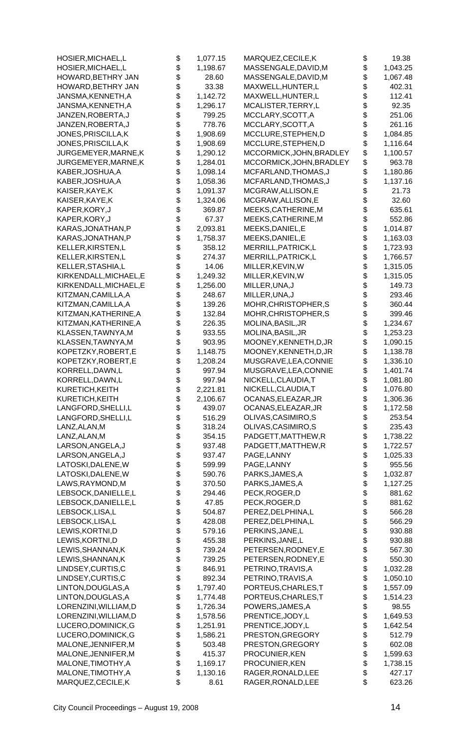| HOSIER, MICHAEL, L                       | \$       | 1,077.15 | MARQUEZ,CECILE,K         | \$       | 19.38            |
|------------------------------------------|----------|----------|--------------------------|----------|------------------|
| HOSIER, MICHAEL, L                       | \$       | 1,198.67 | MASSENGALE, DAVID, M     | \$       | 1,043.25         |
| HOWARD, BETHRY JAN                       | \$       | 28.60    | MASSENGALE,DAVID,M       | \$       | 1,067.48         |
| HOWARD,BETHRY JAN                        | \$       | 33.38    | MAXWELL,HUNTER,L         | \$       | 402.31           |
| JANSMA, KENNETH, A                       | \$       | 1,142.72 | MAXWELL, HUNTER, L       | \$       | 112.41           |
| JANSMA, KENNETH, A                       | \$       | 1,296.17 | MCALISTER, TERRY, L      | \$       | 92.35            |
| JANZEN, ROBERTA, J                       | \$       | 799.25   | MCCLARY, SCOTT, A        | \$       | 251.06           |
| JANZEN, ROBERTA, J                       | \$       | 778.76   | MCCLARY, SCOTT, A        | \$       | 261.16           |
| JONES, PRISCILLA, K                      | \$       | 1,908.69 | MCCLURE, STEPHEN, D      | \$       | 1,084.85         |
| JONES, PRISCILLA, K                      | \$       | 1,908.69 | MCCLURE, STEPHEN, D      | \$       | 1,116.64         |
| JURGEMEYER, MARNE, K                     | \$       | 1,290.12 | MCCORMICK, JOHN, BRADLEY | \$       | 1,100.57         |
| JURGEMEYER, MARNE, K                     | \$       | 1,284.01 | MCCORMICK, JOHN, BRADLEY | \$       | 963.78           |
| KABER, JOSHUA, A                         | \$       | 1,098.14 | MCFARLAND, THOMAS, J     | \$       | 1,180.86         |
| KABER, JOSHUA, A                         | \$       | 1,058.36 | MCFARLAND, THOMAS, J     | \$       | 1,137.16         |
| KAISER, KAYE, K                          | \$       | 1,091.37 | MCGRAW, ALLISON, E       | \$       | 21.73            |
| KAISER, KAYE, K                          | \$       | 1,324.06 | MCGRAW, ALLISON, E       | \$       | 32.60            |
| KAPER, KORY, J                           | \$       | 369.87   | MEEKS, CATHERINE, M      | \$       | 635.61           |
| KAPER, KORY, J                           | \$       | 67.37    | MEEKS, CATHERINE, M      | \$       | 552.86           |
| KARAS, JONATHAN, P                       | \$       | 2,093.81 | MEEKS, DANIEL, E         | \$       | 1,014.87         |
| KARAS, JONATHAN, P                       | \$       | 1,758.37 | MEEKS, DANIEL, E         | \$       | 1,163.03         |
| KELLER, KIRSTEN, L                       | \$       | 358.12   | MERRILL, PATRICK, L      | \$       | 1,723.93         |
| KELLER, KIRSTEN, L                       | \$       | 274.37   | MERRILL, PATRICK, L      | \$       | 1,766.57         |
| KELLER, STASHIA, L                       | \$       | 14.06    | MILLER, KEVIN, W         | \$       | 1,315.05         |
| KIRKENDALL, MICHAEL, E                   | \$       | 1,249.32 | MILLER, KEVIN, W         | \$       | 1,315.05         |
|                                          | \$       | 1,256.00 |                          | \$       | 149.73           |
| KIRKENDALL, MICHAEL, E                   | \$       |          | MILLER, UNA, J           | \$       |                  |
| KITZMAN, CAMILLA, A                      | \$       | 248.67   | MILLER, UNA, J           |          | 293.46           |
| KITZMAN, CAMILLA, A                      |          | 139.26   | MOHR, CHRISTOPHER, S     | \$       | 360.44           |
| KITZMAN, KATHERINE, A                    | \$       | 132.84   | MOHR, CHRISTOPHER, S     | \$       | 399.46           |
| KITZMAN, KATHERINE, A                    | \$       | 226.35   | MOLINA, BASIL, JR        | \$       | 1,234.67         |
| KLASSEN, TAWNYA, M                       | \$       | 933.55   | MOLINA, BASIL, JR        | \$       | 1,253.23         |
| KLASSEN, TAWNYA, M                       | \$       | 903.95   | MOONEY, KENNETH, D, JR   | \$       | 1,090.15         |
| KOPETZKY, ROBERT, E                      | \$       | 1,148.75 | MOONEY, KENNETH, D, JR   | \$       | 1,138.78         |
| KOPETZKY, ROBERT, E                      | \$       | 1,208.24 | MUSGRAVE, LEA, CONNIE    | \$       | 1,336.10         |
| KORRELL, DAWN, L                         | \$       | 997.94   | MUSGRAVE, LEA, CONNIE    | \$       | 1,401.74         |
| KORRELL, DAWN, L                         | \$       | 997.94   | NICKELL, CLAUDIA, T      | \$       | 1,081.80         |
| KURETICH, KEITH                          | \$       | 2,221.81 | NICKELL,CLAUDIA,T        | \$       | 1,076.80         |
| KURETICH, KEITH                          | \$       | 2,106.67 | OCANAS, ELEAZAR, JR      | \$       | 1,306.36         |
| LANGFORD, SHELLI, L                      | \$       | 439.07   | OCANAS, ELEAZAR, JR      | \$       | 1,172.58         |
| LANGFORD, SHELLI, L                      | \$       | 516.29   | OLIVAS, CASIMIRO, S      | \$       | 253.54           |
| LANZ, ALAN, M                            | \$       | 318.24   | OLIVAS, CASIMIRO, S      | \$       | 235.43           |
| LANZ, ALAN, M                            | \$       | 354.15   | PADGETT, MATTHEW, R      | \$       | 1,738.22         |
| LARSON, ANGELA, J                        | \$       | 937.48   | PADGETT, MATTHEW, R      | \$       | 1,722.57         |
| LARSON, ANGELA, J                        | \$       | 937.47   | PAGE, LANNY              | \$       | 1,025.33         |
| LATOSKI, DALENE, W                       | \$       | 599.99   | PAGE, LANNY              | \$       | 955.56           |
| LATOSKI, DALENE, W                       | \$       | 590.76   | PARKS, JAMES, A          | \$       | 1,032.87         |
| LAWS, RAYMOND, M                         | \$       | 370.50   | PARKS, JAMES, A          | \$       | 1,127.25         |
| LEBSOCK, DANIELLE, L                     | \$       | 294.46   | PECK, ROGER, D           | \$       | 881.62           |
| LEBSOCK, DANIELLE, L                     | \$       | 47.85    | PECK, ROGER, D           | \$       | 881.62           |
| LEBSOCK,LISA,L                           | \$       | 504.87   | PEREZ, DELPHINA, L       | \$       | 566.28           |
| LEBSOCK,LISA,L                           | \$       | 428.08   | PEREZ, DELPHINA, L       | \$       | 566.29           |
| LEWIS, KORTNI, D                         | \$       | 579.16   | PERKINS, JANE, L         | \$       | 930.88           |
| LEWIS, KORTNI, D                         | \$       | 455.38   | PERKINS, JANE, L         | \$       | 930.88           |
| LEWIS, SHANNAN, K                        | \$       | 739.24   | PETERSEN, RODNEY, E      | \$       | 567.30           |
| LEWIS, SHANNAN, K                        | \$       | 739.25   | PETERSEN, RODNEY, E      | \$       | 550.30           |
| LINDSEY, CURTIS, C                       | \$       | 846.91   | PETRINO, TRAVIS, A       | \$       | 1,032.28         |
| LINDSEY, CURTIS, C                       | \$       | 892.34   | PETRINO, TRAVIS, A       | \$       | 1,050.10         |
| LINTON, DOUGLAS, A                       | \$       | 1,797.40 | PORTEUS, CHARLES, T      | \$       | 1,557.09         |
| LINTON, DOUGLAS, A                       | \$       | 1,774.48 | PORTEUS, CHARLES, T      | \$       | 1,514.23         |
| LORENZINI, WILLIAM, D                    | \$       | 1,726.34 | POWERS, JAMES, A         | \$       | 98.55            |
| LORENZINI, WILLIAM, D                    | \$       | 1,578.56 | PRENTICE, JODY, L        | \$       | 1,649.53         |
| LUCERO, DOMINICK, G                      | \$       | 1,251.91 | PRENTICE, JODY, L        | \$       | 1,642.54         |
| LUCERO, DOMINICK, G                      | \$       | 1,586.21 | PRESTON, GREGORY         | \$       | 512.79           |
| MALONE, JENNIFER, M                      | \$       | 503.48   | PRESTON, GREGORY         | \$       | 602.08           |
| MALONE, JENNIFER, M                      | \$       | 415.37   | PROCUNIER, KEN           | \$       | 1,599.63         |
|                                          | \$       | 1,169.17 | PROCUNIER, KEN           | \$       | 1,738.15         |
| MALONE, TIMOTHY, A<br>MALONE, TIMOTHY, A |          |          |                          |          |                  |
|                                          | \$<br>\$ | 1,130.16 | RAGER, RONALD, LEE       | \$<br>\$ | 427.17<br>623.26 |
| MARQUEZ, CECILE, K                       |          | 8.61     | RAGER, RONALD, LEE       |          |                  |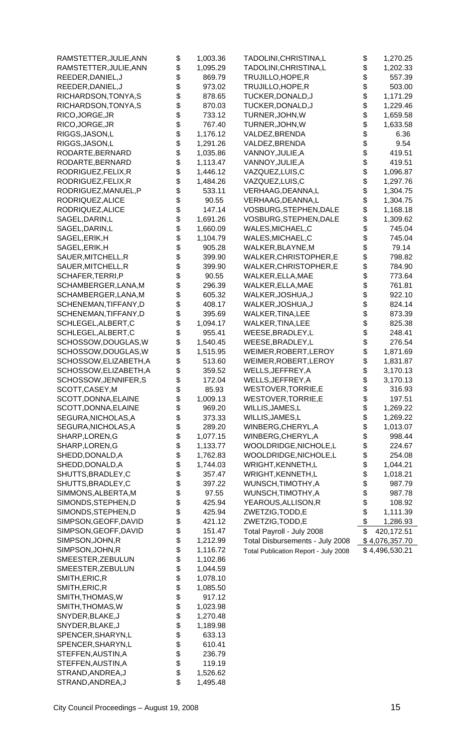| RAMSTETTER, JULIE, ANN | \$       | 1,003.36 | TADOLINI,CHRISTINA,L                 | \$<br>1,270.25             |
|------------------------|----------|----------|--------------------------------------|----------------------------|
| RAMSTETTER, JULIE, ANN | \$       | 1,095.29 | TADOLINI, CHRISTINA, L               | \$<br>1,202.33             |
| REEDER, DANIEL, J      | \$       | 869.79   | TRUJILLO, HOPE, R                    | \$<br>557.39               |
| REEDER, DANIEL, J      | \$       | 973.02   | TRUJILLO, HOPE, R                    | \$<br>503.00               |
| RICHARDSON, TONYA, S   | \$       | 878.65   | TUCKER, DONALD, J                    | \$<br>1,171.29             |
| RICHARDSON, TONYA, S   | \$       | 870.03   | TUCKER, DONALD, J                    | \$<br>1,229.46             |
| RICO, JORGE, JR        | \$       | 733.12   | TURNER, JOHN, W                      | \$<br>1,659.58             |
| RICO, JORGE, JR        | \$       | 767.40   | TURNER, JOHN, W                      | \$<br>1,633.58             |
| RIGGS, JASON, L        | \$       | 1,176.12 | VALDEZ, BRENDA                       | \$<br>6.36                 |
| RIGGS, JASON, L        | \$       | 1,291.26 | VALDEZ, BRENDA                       | \$<br>9.54                 |
| RODARTE, BERNARD       | \$       | 1,035.86 | VANNOY, JULIE, A                     | \$<br>419.51               |
| RODARTE, BERNARD       | \$       | 1,113.47 | VANNOY, JULIE, A                     | \$<br>419.51               |
| RODRIGUEZ, FELIX, R    | \$       | 1,446.12 | VAZQUEZ, LUIS, C                     | \$<br>1,096.87             |
| RODRIGUEZ, FELIX, R    | \$       | 1,484.26 | VAZQUEZ,LUIS,C                       | \$<br>1,297.76             |
| RODRIGUEZ, MANUEL, P   | \$       | 533.11   | VERHAAG, DEANNA, L                   | \$<br>1,304.75             |
| RODRIQUEZ, ALICE       | \$       | 90.55    | VERHAAG, DEANNA, L                   | \$<br>1,304.75             |
| RODRIQUEZ, ALICE       | \$       | 147.14   | VOSBURG, STEPHEN, DALE               | \$<br>1,168.18             |
| SAGEL, DARIN, L        | \$       | 1,691.26 | VOSBURG, STEPHEN, DALE               | \$<br>1,309.62             |
| SAGEL, DARIN, L        | \$       | 1,660.09 | WALES, MICHAEL, C                    | \$<br>745.04               |
| SAGEL, ERIK, H         | \$       | 1,104.79 | WALES, MICHAEL, C                    | \$<br>745.04               |
| SAGEL, ERIK, H         | \$       | 905.28   | WALKER, BLAYNE, M                    | \$<br>79.14                |
| SAUER, MITCHELL, R     | \$       | 399.90   | WALKER, CHRISTOPHER, E               | \$<br>798.82               |
| SAUER, MITCHELL, R     | \$       | 399.90   | WALKER, CHRISTOPHER, E               | \$<br>784.90               |
| SCHAFER, TERRI, P      | \$       | 90.55    | WALKER, ELLA, MAE                    | \$<br>773.64               |
| SCHAMBERGER, LANA, M   |          | 296.39   | WALKER, ELLA, MAE                    | \$<br>761.81               |
| SCHAMBERGER, LANA, M   | \$       | 605.32   | WALKER, JOSHUA, J                    | \$<br>922.10               |
| SCHENEMAN, TIFFANY, D  | \$       | 408.17   | WALKER, JOSHUA, J                    | \$<br>824.14               |
| SCHENEMAN, TIFFANY, D  | \$       | 395.69   | WALKER, TINA, LEE                    | \$<br>873.39               |
| SCHLEGEL, ALBERT, C    | \$       | 1,094.17 | WALKER, TINA, LEE                    | \$<br>825.38               |
| SCHLEGEL, ALBERT, C    | \$       | 955.41   | WEESE, BRADLEY, L                    | \$<br>248.41               |
|                        | \$       | 1,540.45 |                                      | \$<br>276.54               |
| SCHOSSOW, DOUGLAS, W   | \$       |          | WEESE, BRADLEY, L                    | \$                         |
| SCHOSSOW, DOUGLAS, W   | \$       | 1,515.95 | WEIMER, ROBERT, LEROY                | \$<br>1,871.69<br>1,831.87 |
| SCHOSSOW, ELIZABETH, A | \$       | 513.60   | WEIMER, ROBERT, LEROY                | \$                         |
| SCHOSSOW, ELIZABETH, A |          | 359.52   | WELLS, JEFFREY, A                    | 3,170.13                   |
| SCHOSSOW, JENNIFER, S  | \$       | 172.04   | WELLS, JEFFREY, A                    | \$<br>3,170.13             |
| SCOTT, CASEY, M        | \$       | 85.93    | WESTOVER, TORRIE, E                  | \$<br>316.93               |
| SCOTT, DONNA, ELAINE   | \$       | 1,009.13 | WESTOVER, TORRIE, E                  | \$<br>197.51               |
| SCOTT, DONNA, ELAINE   | \$       | 969.20   | WILLIS, JAMES, L                     | \$<br>1,269.22             |
| SEGURA, NICHOLAS, A    | \$       | 373.33   | WILLIS, JAMES, L                     | \$<br>1,269.22             |
| SEGURA, NICHOLAS, A    | \$       | 289.20   | WINBERG, CHERYL, A                   | \$<br>1,013.07             |
| SHARP, LOREN, G        | \$       | 1,077.15 | WINBERG, CHERYL, A                   | \$<br>998.44               |
| SHARP, LOREN, G        | \$       | 1,133.77 | WOOLDRIDGE, NICHOLE, L               | \$<br>224.67               |
| SHEDD, DONALD, A       | \$       | 1,762.83 | WOOLDRIDGE, NICHOLE, L               | \$<br>254.08               |
| SHEDD, DONALD, A       | \$       | 1,744.03 | WRIGHT, KENNETH, L                   | \$<br>1,044.21             |
| SHUTTS, BRADLEY, C     | \$       | 357.47   | WRIGHT, KENNETH, L                   | \$<br>1,018.21             |
| SHUTTS, BRADLEY, C     | \$       | 397.22   | WUNSCH, TIMOTHY, A                   | \$<br>987.79               |
| SIMMONS, ALBERTA, M    | \$<br>\$ | 97.55    | WUNSCH, TIMOTHY, A                   | \$<br>987.78               |
| SIMONDS, STEPHEN, D    |          | 425.94   | YEAROUS, ALLISON, R                  | \$<br>108.92               |
| SIMONDS, STEPHEN, D    | \$       | 425.94   | ZWETZIG, TODD, E                     | \$<br>1,111.39             |
| SIMPSON, GEOFF, DAVID  | \$       | 421.12   | ZWETZIG, TODD, E                     | \$<br>1,286.93             |
| SIMPSON, GEOFF, DAVID  | \$       | 151.47   | Total Payroll - July 2008            | \$<br>420,172.51           |
| SIMPSON, JOHN, R       | \$       | 1,212.99 | Total Disbursements - July 2008      | \$4,076,357.70             |
| SIMPSON, JOHN, R       | \$       | 1,116.72 | Total Publication Report - July 2008 | \$4,496,530.21             |
| SMEESTER, ZEBULUN      | \$       | 1,102.86 |                                      |                            |
| SMEESTER, ZEBULUN      | \$       | 1,044.59 |                                      |                            |
| SMITH, ERIC, R         | \$       | 1,078.10 |                                      |                            |
| SMITH, ERIC, R         | \$       | 1,085.50 |                                      |                            |
| SMITH, THOMAS, W       | \$       | 917.12   |                                      |                            |
| SMITH, THOMAS, W       | \$       | 1,023.98 |                                      |                            |
| SNYDER, BLAKE, J       | \$       | 1,270.48 |                                      |                            |
| SNYDER, BLAKE, J       | \$       | 1,189.98 |                                      |                            |
| SPENCER, SHARYN, L     | \$       | 633.13   |                                      |                            |
| SPENCER, SHARYN, L     | \$       | 610.41   |                                      |                            |
| STEFFEN, AUSTIN, A     | \$       | 236.79   |                                      |                            |
| STEFFEN, AUSTIN, A     | \$       | 119.19   |                                      |                            |
| STRAND, ANDREA, J      | \$       | 1,526.62 |                                      |                            |

STRAND,ANDREA,J \$ 1,495.48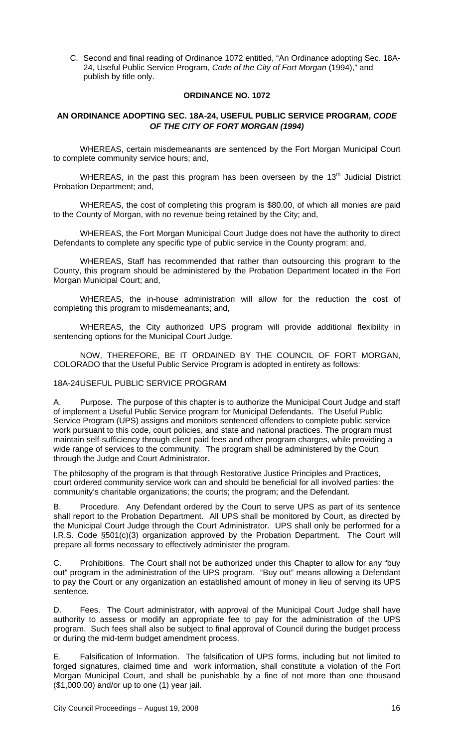C. Second and final reading of Ordinance 1072 entitled, "An Ordinance adopting Sec. 18A-24, Useful Public Service Program, *Code of the City of Fort Morgan* (1994)," and publish by title only.

#### **ORDINANCE NO. 1072**

# **AN ORDINANCE ADOPTING SEC. 18A-24, USEFUL PUBLIC SERVICE PROGRAM,** *CODE OF THE CITY OF FORT MORGAN (1994)*

WHEREAS, certain misdemeanants are sentenced by the Fort Morgan Municipal Court to complete community service hours; and,

WHEREAS, in the past this program has been overseen by the  $13<sup>th</sup>$  Judicial District Probation Department; and,

WHEREAS, the cost of completing this program is \$80.00, of which all monies are paid to the County of Morgan, with no revenue being retained by the City; and,

WHEREAS, the Fort Morgan Municipal Court Judge does not have the authority to direct Defendants to complete any specific type of public service in the County program; and,

WHEREAS, Staff has recommended that rather than outsourcing this program to the County, this program should be administered by the Probation Department located in the Fort Morgan Municipal Court; and,

WHEREAS, the in-house administration will allow for the reduction the cost of completing this program to misdemeanants; and,

WHEREAS, the City authorized UPS program will provide additional flexibility in sentencing options for the Municipal Court Judge.

 NOW, THEREFORE, BE IT ORDAINED BY THE COUNCIL OF FORT MORGAN, COLORADO that the Useful Public Service Program is adopted in entirety as follows:

#### 18A-24 USEFUL PUBLIC SERVICE PROGRAM

A. Purpose. The purpose of this chapter is to authorize the Municipal Court Judge and staff of implement a Useful Public Service program for Municipal Defendants. The Useful Public Service Program (UPS) assigns and monitors sentenced offenders to complete public service work pursuant to this code, court policies, and state and national practices. The program must maintain self-sufficiency through client paid fees and other program charges, while providing a wide range of services to the community. The program shall be administered by the Court through the Judge and Court Administrator.

The philosophy of the program is that through Restorative Justice Principles and Practices, court ordered community service work can and should be beneficial for all involved parties: the community's charitable organizations; the courts; the program; and the Defendant.

B. Procedure. Any Defendant ordered by the Court to serve UPS as part of its sentence shall report to the Probation Department. All UPS shall be monitored by Court, as directed by the Municipal Court Judge through the Court Administrator. UPS shall only be performed for a I.R.S. Code §501(c)(3) organization approved by the Probation Department. The Court will prepare all forms necessary to effectively administer the program.

C. Prohibitions. The Court shall not be authorized under this Chapter to allow for any "buy out" program in the administration of the UPS program. "Buy out" means allowing a Defendant to pay the Court or any organization an established amount of money in lieu of serving its UPS sentence.

D. Fees. The Court administrator, with approval of the Municipal Court Judge shall have authority to assess or modify an appropriate fee to pay for the administration of the UPS program. Such fees shall also be subject to final approval of Council during the budget process or during the mid-term budget amendment process.

E. Falsification of Information. The falsification of UPS forms, including but not limited to forged signatures, claimed time and work information, shall constitute a violation of the Fort Morgan Municipal Court, and shall be punishable by a fine of not more than one thousand (\$1,000.00) and/or up to one (1) year jail.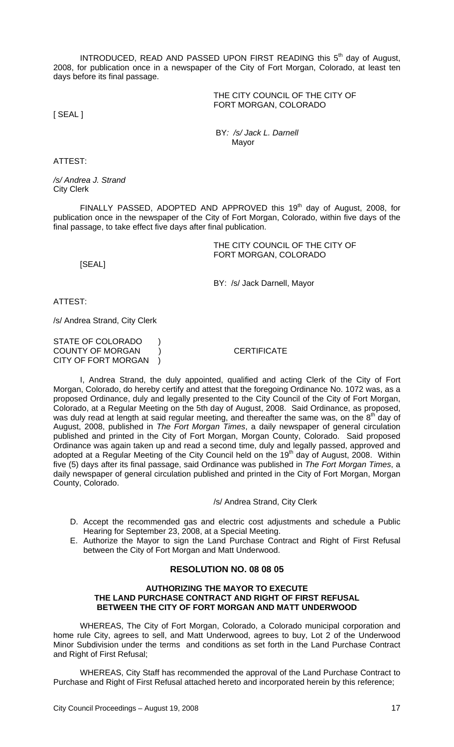INTRODUCED, READ AND PASSED UPON FIRST READING this 5<sup>th</sup> day of August, 2008, for publication once in a newspaper of the City of Fort Morgan, Colorado, at least ten days before its final passage.

> THE CITY COUNCIL OF THE CITY OF FORT MORGAN, COLORADO

[ SEAL ]

 BY*: /s/ Jack L. Darnell* Mayor

ATTEST:

*/s/ Andrea J. Strand* City Clerk

FINALLY PASSED, ADOPTED AND APPROVED this 19<sup>th</sup> day of August, 2008, for publication once in the newspaper of the City of Fort Morgan, Colorado, within five days of the final passage, to take effect five days after final publication.

> THE CITY COUNCIL OF THE CITY OF FORT MORGAN, COLORADO

[SEAL]

BY: /s/ Jack Darnell, Mayor

ATTEST:

/s/ Andrea Strand, City Clerk

STATE OF COLORADO ) COUNTY OF MORGAN ) CERTIFICATE CITY OF FORT MORGAN )

I, Andrea Strand, the duly appointed, qualified and acting Clerk of the City of Fort Morgan, Colorado, do hereby certify and attest that the foregoing Ordinance No. 1072 was, as a proposed Ordinance, duly and legally presented to the City Council of the City of Fort Morgan, Colorado, at a Regular Meeting on the 5th day of August, 2008. Said Ordinance, as proposed, was duly read at length at said regular meeting, and thereafter the same was, on the 8<sup>th</sup> day of August, 2008, published in *The Fort Morgan Times*, a daily newspaper of general circulation published and printed in the City of Fort Morgan, Morgan County, Colorado. Said proposed Ordinance was again taken up and read a second time, duly and legally passed, approved and adopted at a Regular Meeting of the City Council held on the 19<sup>th</sup> day of August, 2008. Within five (5) days after its final passage, said Ordinance was published in *The Fort Morgan Times*, a daily newspaper of general circulation published and printed in the City of Fort Morgan, Morgan County, Colorado.

#### /s/ Andrea Strand, City Clerk

- D. Accept the recommended gas and electric cost adjustments and schedule a Public Hearing for September 23, 2008, at a Special Meeting.
- E. Authorize the Mayor to sign the Land Purchase Contract and Right of First Refusal between the City of Fort Morgan and Matt Underwood.

### **RESOLUTION NO. 08 08 05**

#### **AUTHORIZING THE MAYOR TO EXECUTE THE LAND PURCHASE CONTRACT AND RIGHT OF FIRST REFUSAL BETWEEN THE CITY OF FORT MORGAN AND MATT UNDERWOOD**

WHEREAS, The City of Fort Morgan, Colorado, a Colorado municipal corporation and home rule City, agrees to sell, and Matt Underwood, agrees to buy, Lot 2 of the Underwood Minor Subdivision under the terms and conditions as set forth in the Land Purchase Contract and Right of First Refusal;

WHEREAS, City Staff has recommended the approval of the Land Purchase Contract to Purchase and Right of First Refusal attached hereto and incorporated herein by this reference;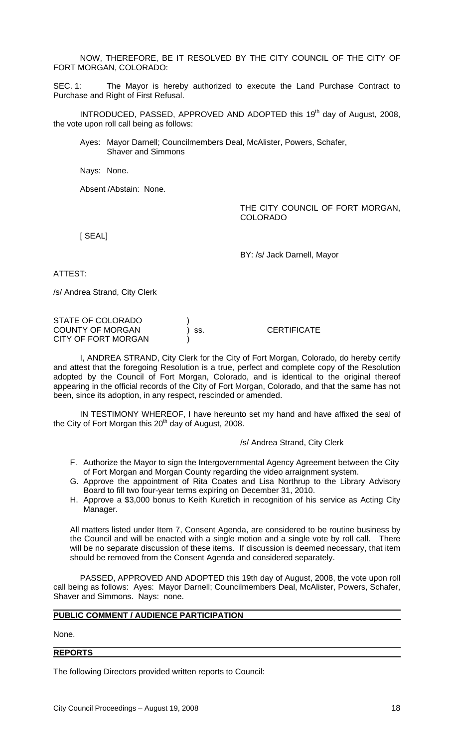NOW, THEREFORE, BE IT RESOLVED BY THE CITY COUNCIL OF THE CITY OF FORT MORGAN, COLORADO:

SEC. 1: The Mayor is hereby authorized to execute the Land Purchase Contract to Purchase and Right of First Refusal.

INTRODUCED, PASSED, APPROVED AND ADOPTED this 19<sup>th</sup> day of August, 2008, the vote upon roll call being as follows:

Ayes: Mayor Darnell; Councilmembers Deal, McAlister, Powers, Schafer, Shaver and Simmons

Nays: None.

Absent /Abstain: None.

THE CITY COUNCIL OF FORT MORGAN. COLORADO

[ SEAL]

BY: /s/ Jack Darnell, Mayor

ATTEST:

/s/ Andrea Strand, City Clerk

STATE OF COLORADO COUNTY OF MORGAN ) ss. CERTIFICATE CITY OF FORT MORGAN

I, ANDREA STRAND, City Clerk for the City of Fort Morgan, Colorado, do hereby certify and attest that the foregoing Resolution is a true, perfect and complete copy of the Resolution adopted by the Council of Fort Morgan, Colorado, and is identical to the original thereof appearing in the official records of the City of Fort Morgan, Colorado, and that the same has not been, since its adoption, in any respect, rescinded or amended.

IN TESTIMONY WHEREOF, I have hereunto set my hand and have affixed the seal of the City of Fort Morgan this  $20<sup>th</sup>$  day of August, 2008.

#### /s/ Andrea Strand, City Clerk

- F. Authorize the Mayor to sign the Intergovernmental Agency Agreement between the City of Fort Morgan and Morgan County regarding the video arraignment system.
- G. Approve the appointment of Rita Coates and Lisa Northrup to the Library Advisory Board to fill two four-year terms expiring on December 31, 2010.
- H. Approve a \$3,000 bonus to Keith Kuretich in recognition of his service as Acting City Manager.

All matters listed under Item 7, Consent Agenda, are considered to be routine business by the Council and will be enacted with a single motion and a single vote by roll call. There will be no separate discussion of these items. If discussion is deemed necessary, that item should be removed from the Consent Agenda and considered separately.

 PASSED, APPROVED AND ADOPTED this 19th day of August, 2008, the vote upon roll call being as follows: Ayes: Mayor Darnell; Councilmembers Deal, McAlister, Powers, Schafer, Shaver and Simmons. Nays: none.

### **PUBLIC COMMENT / AUDIENCE PARTICIPATION**

None.

#### **REPORTS**

The following Directors provided written reports to Council: